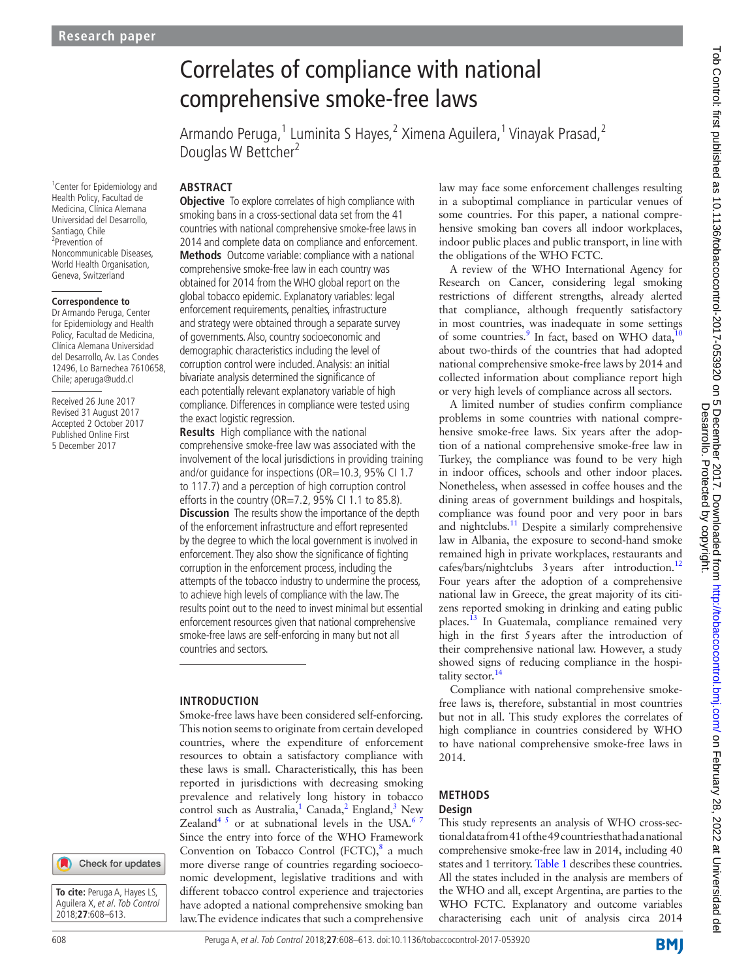# Correlates of compliance with national comprehensive smoke-free laws

Armando Peruga,<sup>1</sup> Luminita S Hayes,<sup>2</sup> Ximena Aguilera,<sup>1</sup> Vinayak Prasad,<sup>2</sup> Douglas W Bettcher<sup>2</sup>

# **Abstract**

**Objective** To explore correlates of high compliance with smoking bans in a cross-sectional data set from the 41 countries with national comprehensive smoke-free laws in 2014 and complete data on compliance and enforcement. **Methods** Outcome variable: compliance with a national comprehensive smoke-free law in each country was obtained for 2014 from the WHO global report on the global tobacco epidemic. Explanatory variables: legal enforcement requirements, penalties, infrastructure and strategy were obtained through a separate survey of governments. Also, country socioeconomic and demographic characteristics including the level of corruption control were included. Analysis: an initial bivariate analysis determined the significance of each potentially relevant explanatory variable of high compliance. Differences in compliance were tested using the exact logistic regression.

**Results** High compliance with the national comprehensive smoke-free law was associated with the involvement of the local jurisdictions in providing training and/or guidance for inspections (OR=10.3, 95% CI 1.7 to 117.7) and a perception of high corruption control efforts in the country (OR=7.2, 95% CI 1.1 to 85.8). **Discussion** The results show the importance of the depth of the enforcement infrastructure and effort represented by the degree to which the local government is involved in enforcement. They also show the significance of fighting corruption in the enforcement process, including the attempts of the tobacco industry to undermine the process, to achieve high levels of compliance with the law. The results point out to the need to invest minimal but essential enforcement resources given that national comprehensive smoke-free laws are self-enforcing in many but not all countries and sectors.

## **Introduction**

Smoke-free laws have been considered self-enforcing. This notion seems to originate from certain developed countries, where the expenditure of enforcement resources to obtain a satisfactory compliance with these laws is small. Characteristically, this has been reported in jurisdictions with decreasing smoking prevalence and relatively long history in tobacco control such as Australia,  $1 \text{ Canada}$  $1 \text{ Canada}$ , England, New Zealand<sup>4 5</sup> or at subnational levels in the USA.<sup>67</sup> Since the entry into force of the WHO Framework Convention on Tobacco Control (FCTC), $8$  a much more diverse range of countries regarding socioeconomic development, legislative traditions and with different tobacco control experience and trajectories have adopted a national comprehensive smoking ban law.The evidence indicates that such a comprehensive

law may face some enforcement challenges resulting in a suboptimal compliance in particular venues of some countries. For this paper, a national comprehensive smoking ban covers all indoor workplaces, indoor public places and public transport, in line with the obligations of the WHO FCTC.

A review of the WHO International Agency for Research on Cancer, considering legal smoking restrictions of different strengths, already alerted that compliance, although frequently satisfactory in most countries, was inadequate in some settings of some countries.<sup>9</sup> In fact, based on WHO data,<sup>[10](#page-4-7)</sup> about two-thirds of the countries that had adopted national comprehensive smoke-free laws by 2014 and collected information about compliance report high or very high levels of compliance across all sectors.

A limited number of studies confirm compliance problems in some countries with national comprehensive smoke-free laws. Six years after the adoption of a national comprehensive smoke-free law in Turkey, the compliance was found to be very high in indoor offices, schools and other indoor places. Nonetheless, when assessed in coffee houses and the dining areas of government buildings and hospitals, compliance was found poor and very poor in bars and nightclubs[.11](#page-4-8) Despite a similarly comprehensive law in Albania, the exposure to second-hand smoke remained high in private workplaces, restaurants and cafes/bars/nightclubs 3 years after introduction.<sup>[12](#page-4-9)</sup> Four years after the adoption of a comprehensive national law in Greece, the great majority of its citizens reported smoking in drinking and eating public places.<sup>13</sup> In Guatemala, compliance remained very high in the first 5years after the introduction of their comprehensive national law. However, a study showed signs of reducing compliance in the hospi-tality sector.<sup>[14](#page-5-1)</sup>

Compliance with national comprehensive smokefree laws is, therefore, substantial in most countries but not in all. This study explores the correlates of high compliance in countries considered by WHO to have national comprehensive smoke-free laws in 2014.

#### **Methods Design**

This study represents an analysis of WHO cross-sectional data from 41 of the 49 countries that had a national comprehensive smoke-free law in 2014, including 40 states and 1 territory. [Table](#page-1-0) 1 describes these countries. All the states included in the analysis are members of the WHO and all, except Argentina, are parties to the WHO FCTC. Explanatory and outcome variables characterising each unit of analysis circa 2014

<sup>1</sup> Center for Epidemiology and Health Policy, Facultad de Medicina, Clínica Alemana Universidad del Desarrollo, Santiago, Chile 2 Prevention of Noncommunicable Diseases, World Health Organisation, Geneva, Switzerland

#### **Correspondence to**

Dr Armando Peruga, Center for Epidemiology and Health Policy, Facultad de Medicina, Clínica Alemana Universidad del Desarrollo, Av. Las Condes 12496, Lo Barnechea 7610658, Chile; aperuga@udd.cl

Received 26 June 2017 Revised 31 August 2017 Accepted 2 October 2017 Published Online First 5 December 2017

Check for updates

**To cite:** Peruga A, Hayes LS, Aguilera X, et al. Tob Control 2018;**27**:608–613.

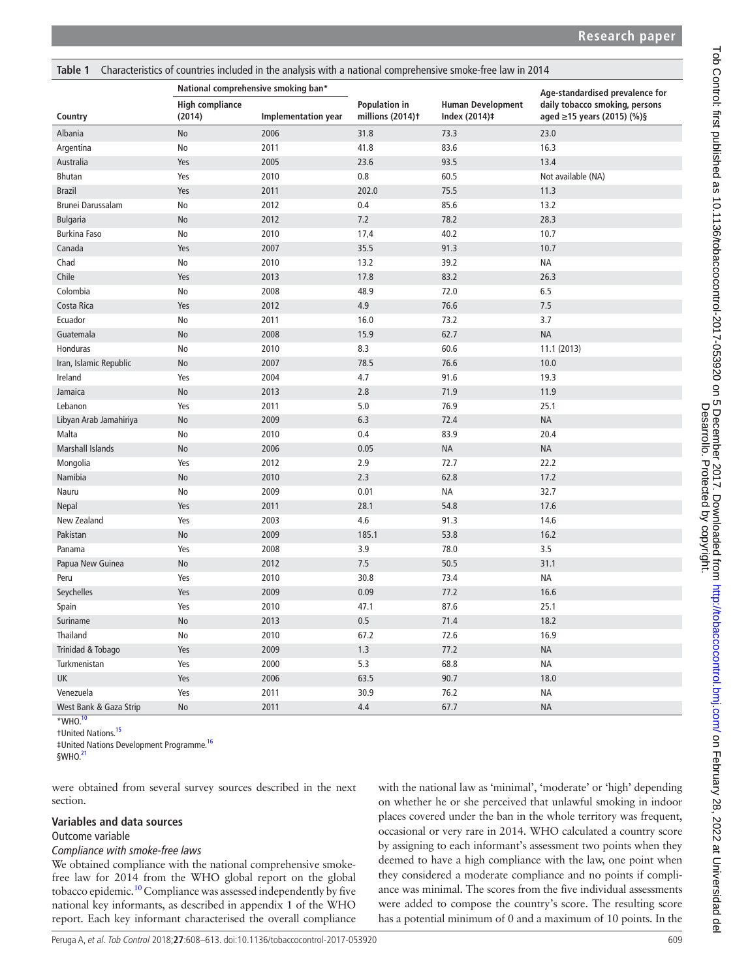<span id="page-1-0"></span>

| Table 1<br>Characteristics of countries included in the analysis with a national comprehensive smoke-free law in 2014 |                                     |                     |                                   |                                           |                                                              |  |  |  |  |
|-----------------------------------------------------------------------------------------------------------------------|-------------------------------------|---------------------|-----------------------------------|-------------------------------------------|--------------------------------------------------------------|--|--|--|--|
|                                                                                                                       | National comprehensive smoking ban* |                     |                                   |                                           | Age-standardised prevalence for                              |  |  |  |  |
| Country                                                                                                               | <b>High compliance</b><br>(2014)    | Implementation year | Population in<br>millions (2014)t | <b>Human Development</b><br>Index (2014)‡ | daily tobacco smoking, persons<br>aged ≥15 years (2015) (%)§ |  |  |  |  |
| Albania                                                                                                               | No                                  | 2006                | 31.8<br>73.3                      |                                           | 23.0                                                         |  |  |  |  |
| Argentina                                                                                                             | No                                  | 2011                | 41.8                              | 83.6                                      | 16.3                                                         |  |  |  |  |
| Australia                                                                                                             | Yes                                 | 2005                | 23.6                              | 93.5                                      | 13.4                                                         |  |  |  |  |
| <b>Bhutan</b>                                                                                                         | Yes                                 | 2010                | 0.8                               | 60.5                                      | Not available (NA)                                           |  |  |  |  |
| <b>Brazil</b>                                                                                                         | Yes                                 | 2011                | 202.0                             | 75.5                                      | 11.3                                                         |  |  |  |  |
| Brunei Darussalam                                                                                                     | No                                  | 2012                | 0.4                               | 85.6                                      | 13.2                                                         |  |  |  |  |
| <b>Bulgaria</b>                                                                                                       | No                                  | 2012                | 7.2                               | 78.2                                      | 28.3                                                         |  |  |  |  |
| <b>Burkina Faso</b>                                                                                                   | No                                  | 2010                | 17,4                              | 40.2                                      | 10.7                                                         |  |  |  |  |
| Canada                                                                                                                | Yes                                 | 2007                | 35.5                              | 91.3                                      | 10.7                                                         |  |  |  |  |
| Chad                                                                                                                  | No                                  | 2010                | 13.2                              | 39.2                                      | <b>NA</b>                                                    |  |  |  |  |
| Chile                                                                                                                 | Yes                                 | 2013                | 17.8                              | 83.2                                      | 26.3                                                         |  |  |  |  |
| Colombia                                                                                                              | No                                  | 2008                | 48.9                              | 72.0                                      | 6.5                                                          |  |  |  |  |
| Costa Rica                                                                                                            | Yes                                 | 2012                | 4.9                               | 76.6                                      | 7.5                                                          |  |  |  |  |
| Ecuador                                                                                                               | No                                  | 2011                | 16.0                              | 73.2                                      | 3.7                                                          |  |  |  |  |
| Guatemala                                                                                                             | No                                  | 2008                | 15.9                              | 62.7                                      | <b>NA</b>                                                    |  |  |  |  |
| Honduras                                                                                                              | No                                  | 2010                | 8.3                               | 60.6                                      | 11.1 (2013)                                                  |  |  |  |  |
| Iran, Islamic Republic                                                                                                | No                                  | 2007                | 78.5                              | 76.6                                      | 10.0                                                         |  |  |  |  |
| Ireland                                                                                                               | Yes                                 | 2004                | 4.7                               | 91.6                                      | 19.3                                                         |  |  |  |  |
| Jamaica                                                                                                               | No                                  | 2013                | 2.8                               | 71.9                                      | 11.9                                                         |  |  |  |  |
| Lebanon                                                                                                               | Yes                                 | 2011                | 5.0                               | 76.9                                      | 25.1                                                         |  |  |  |  |
| Libyan Arab Jamahiriya                                                                                                | No                                  | 2009                | 6.3                               | 72.4                                      | <b>NA</b>                                                    |  |  |  |  |
| Malta                                                                                                                 | No                                  | 2010                | 0.4                               | 83.9                                      | 20.4                                                         |  |  |  |  |
| <b>Marshall Islands</b>                                                                                               | No                                  | 2006                | 0.05                              | <b>NA</b>                                 | <b>NA</b>                                                    |  |  |  |  |
| Mongolia                                                                                                              | Yes                                 | 2012                | 2.9                               | 72.7                                      | 22.2                                                         |  |  |  |  |
| Namibia                                                                                                               | <b>No</b>                           | 2010                | 2.3                               | 62.8                                      | 17.2                                                         |  |  |  |  |
| Nauru                                                                                                                 | No                                  | 2009                | 0.01                              | ΝA                                        | 32.7                                                         |  |  |  |  |
| Nepal                                                                                                                 | Yes                                 | 2011                | 28.1                              | 54.8                                      | 17.6                                                         |  |  |  |  |
| New Zealand                                                                                                           | Yes                                 | 2003                | 4.6                               | 91.3                                      | 14.6                                                         |  |  |  |  |
| Pakistan                                                                                                              | No                                  | 2009                | 185.1                             | 53.8                                      | 16.2                                                         |  |  |  |  |
| Panama                                                                                                                | Yes                                 | 2008                | 3.9                               | 78.0                                      | 3.5                                                          |  |  |  |  |
| Papua New Guinea                                                                                                      | No                                  | 2012                | 7.5                               | 50.5                                      | 31.1                                                         |  |  |  |  |
| Peru                                                                                                                  | Yes                                 | 2010                | 30.8                              | 73.4                                      | <b>NA</b>                                                    |  |  |  |  |
| Seychelles                                                                                                            | Yes                                 | 2009                | 0.09                              | 77.2                                      | 16.6                                                         |  |  |  |  |
| Spain                                                                                                                 | Yes                                 | 2010                | 47.1                              | 87.6                                      | 25.1                                                         |  |  |  |  |
| Suriname                                                                                                              | No                                  | 2013                | 0.5                               | 71.4                                      | 18.2                                                         |  |  |  |  |
| Thailand                                                                                                              | No                                  | 2010                | 67.2                              | 72.6                                      | 16.9                                                         |  |  |  |  |
| Trinidad & Tobago                                                                                                     | Yes                                 | 2009                | 1.3                               | 77.2                                      | <b>NA</b>                                                    |  |  |  |  |
| Turkmenistan                                                                                                          | Yes                                 | 2000                | 5.3                               | 68.8                                      | <b>NA</b>                                                    |  |  |  |  |
| UK                                                                                                                    | Yes                                 | 2006                | 63.5                              | 90.7                                      | 18.0                                                         |  |  |  |  |
| Venezuela                                                                                                             | Yes                                 | 2011                | 30.9                              | 76.2                                      | NA                                                           |  |  |  |  |
| West Bank & Gaza Strip                                                                                                | No                                  | 2011                | 4.4                               | 67.7                                      | <b>NA</b>                                                    |  |  |  |  |

 $*$ WHO.

†United Nations.[15](#page-5-2)

‡United Nations Development Programme.[16](#page-5-3)

§WHO.[21](#page-5-4)

were obtained from several survey sources described in the next section.

#### **Variables and data sources**

#### Outcome variable

#### *Compliance with smoke-free laws*

We obtained compliance with the national comprehensive smokefree law for 2014 from the WHO global report on the global tobacco epidemic.[10](#page-4-7) Compliance was assessed independently by five national key informants, as described in appendix 1 of the WHO report. Each key informant characterised the overall compliance with the national law as 'minimal', 'moderate' or 'high' depending on whether he or she perceived that unlawful smoking in indoor places covered under the ban in the whole territory was frequent, occasional or very rare in 2014. WHO calculated a country score by assigning to each informant's assessment two points when they deemed to have a high compliance with the law, one point when they considered a moderate compliance and no points if compliance was minimal. The scores from the five individual assessments were added to compose the country's score. The resulting score has a potential minimum of 0 and a maximum of 10 points. In the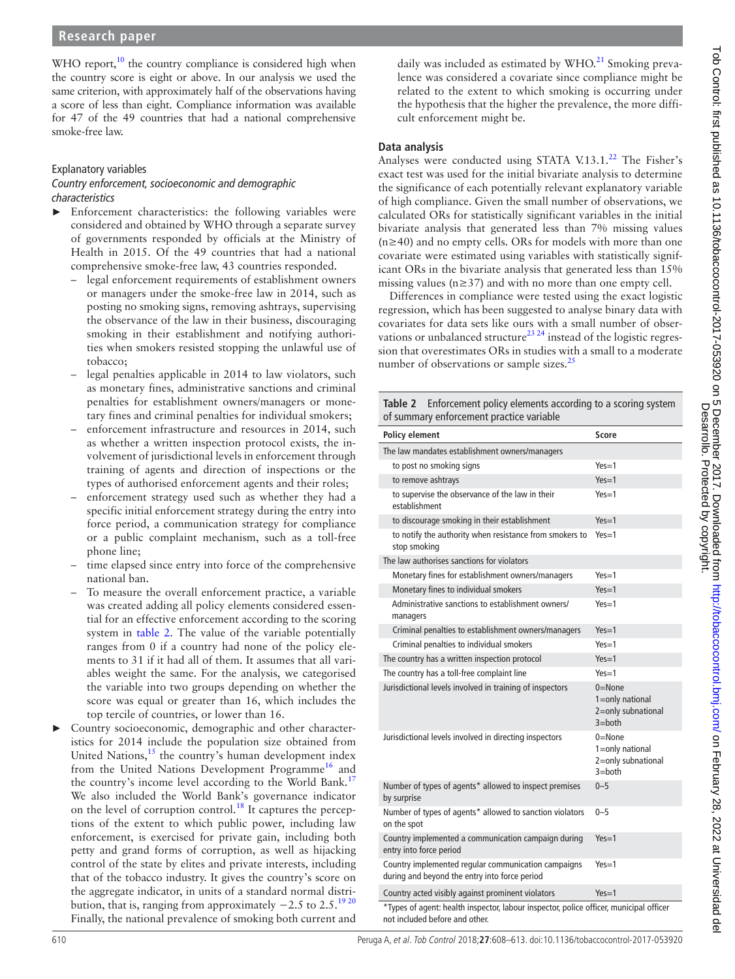WHO report, $10$  the country compliance is considered high when the country score is eight or above. In our analysis we used the same criterion, with approximately half of the observations having a score of less than eight. Compliance information was available for 47 of the 49 countries that had a national comprehensive smoke-free law.

#### Explanatory variables *Country enforcement, socioeconomic and demographic characteristics*

- Enforcement characteristics: the following variables were considered and obtained by WHO through a separate survey of governments responded by officials at the Ministry of Health in 2015. Of the 49 countries that had a national comprehensive smoke-free law, 43 countries responded.
	- legal enforcement requirements of establishment owners or managers under the smoke-free law in 2014, such as posting no smoking signs, removing ashtrays, supervising the observance of the law in their business, discouraging smoking in their establishment and notifying authorities when smokers resisted stopping the unlawful use of tobacco;
	- legal penalties applicable in 2014 to law violators, such as monetary fines, administrative sanctions and criminal penalties for establishment owners/managers or monetary fines and criminal penalties for individual smokers;
	- enforcement infrastructure and resources in 2014, such as whether a written inspection protocol exists, the involvement of jurisdictional levels in enforcement through training of agents and direction of inspections or the types of authorised enforcement agents and their roles;
	- enforcement strategy used such as whether they had a specific initial enforcement strategy during the entry into force period, a communication strategy for compliance or a public complaint mechanism, such as a toll-free phone line;
	- time elapsed since entry into force of the comprehensive national ban.
	- To measure the overall enforcement practice, a variable was created adding all policy elements considered essential for an effective enforcement according to the scoring system in [table](#page-2-0) 2. The value of the variable potentially ranges from 0 if a country had none of the policy elements to 31 if it had all of them. It assumes that all variables weight the same. For the analysis, we categorised the variable into two groups depending on whether the score was equal or greater than 16, which includes the top tercile of countries, or lower than 16.
- Country socioeconomic, demographic and other characteristics for 2014 include the population size obtained from United Nations, $15$  the country's human development index from the United Nations Development Programme<sup>16</sup> and the country's income level according to the World Bank.<sup>[17](#page-5-5)</sup> We also included the World Bank's governance indicator on the level of corruption control.<sup>[18](#page-5-6)</sup> It captures the perceptions of the extent to which public power, including law enforcement, is exercised for private gain, including both petty and grand forms of corruption, as well as hijacking control of the state by elites and private interests, including that of the tobacco industry. It gives the country's score on the aggregate indicator, in units of a standard normal distribution, that is, ranging from approximately  $-2.5$  to 2.5.<sup>[19 20](#page-5-7)</sup> Finally, the national prevalence of smoking both current and

daily was included as estimated by  $WHO<sup>21</sup>$  Smoking prevalence was considered a covariate since compliance might be related to the extent to which smoking is occurring under the hypothesis that the higher the prevalence, the more difficult enforcement might be.

# **Data analysis**

Analyses were conducted using STATA V.13.1. $^{22}$  The Fisher's exact test was used for the initial bivariate analysis to determine the significance of each potentially relevant explanatory variable of high compliance. Given the small number of observations, we calculated ORs for statistically significant variables in the initial bivariate analysis that generated less than 7% missing values (n≥40) and no empty cells. ORs for models with more than one covariate were estimated using variables with statistically significant ORs in the bivariate analysis that generated less than 15% missing values (n≥37) and with no more than one empty cell.

Differences in compliance were tested using the exact logistic regression, which has been suggested to analyse binary data with covariates for data sets like ours with a small number of observations or unbalanced structure<sup>23 24</sup> instead of the logistic regression that overestimates ORs in studies with a small to a moderate number of observations or sample sizes.<sup>25</sup>

<span id="page-2-0"></span>

| <b>Table 2</b> Enforcement policy elements according to a scoring system<br>of summary enforcement practice variable |           |  |  |  |
|----------------------------------------------------------------------------------------------------------------------|-----------|--|--|--|
| <b>Policy element</b>                                                                                                | Score     |  |  |  |
| The law mandates establishment owners/managers                                                                       |           |  |  |  |
| to post no smoking signs                                                                                             | $Yes = 1$ |  |  |  |
| to remove ashtravs                                                                                                   | $Yes=1$   |  |  |  |

| to remove ashtrays                                                                                   | $Yes = 1$                                                         |  |  |  |  |
|------------------------------------------------------------------------------------------------------|-------------------------------------------------------------------|--|--|--|--|
| to supervise the observance of the law in their<br>establishment                                     | $Yes = 1$                                                         |  |  |  |  |
| to discourage smoking in their establishment                                                         | $Yes = 1$                                                         |  |  |  |  |
| to notify the authority when resistance from smokers to<br>stop smoking                              | $Yes = 1$                                                         |  |  |  |  |
| The law authorises sanctions for violators                                                           |                                                                   |  |  |  |  |
| Monetary fines for establishment owners/managers                                                     | $Yes=1$                                                           |  |  |  |  |
| Monetary fines to individual smokers                                                                 | $Yes=1$                                                           |  |  |  |  |
| Administrative sanctions to establishment owners/<br>managers                                        | $Yes = 1$                                                         |  |  |  |  |
| Criminal penalties to establishment owners/managers                                                  | $Yes=1$                                                           |  |  |  |  |
| Criminal penalties to individual smokers                                                             | $Yes = 1$                                                         |  |  |  |  |
| The country has a written inspection protocol                                                        | $Yes = 1$                                                         |  |  |  |  |
| The country has a toll-free complaint line                                                           | $Yes = 1$                                                         |  |  |  |  |
| Jurisdictional levels involved in training of inspectors                                             | $0 =$ None<br>1=only national<br>2=only subnational<br>$3 = both$ |  |  |  |  |
| Jurisdictional levels involved in directing inspectors                                               | $0 =$ None<br>1=only national<br>2=only subnational<br>$3 = both$ |  |  |  |  |
| Number of types of agents* allowed to inspect premises<br>by surprise                                | $0 - 5$                                                           |  |  |  |  |
| Number of types of agents* allowed to sanction violators<br>on the spot                              | $0 - 5$                                                           |  |  |  |  |
| Country implemented a communication campaign during<br>entry into force period                       | $Yes = 1$                                                         |  |  |  |  |
| Country implemented regular communication campaigns<br>during and beyond the entry into force period | $Yes = 1$                                                         |  |  |  |  |
| Country acted visibly against prominent violators                                                    | $Yes=1$                                                           |  |  |  |  |
| *Tupes of agent: hoalth inspector labour inspector police officer municipal officer                  |                                                                   |  |  |  |  |

Types of agent: health not included before and other.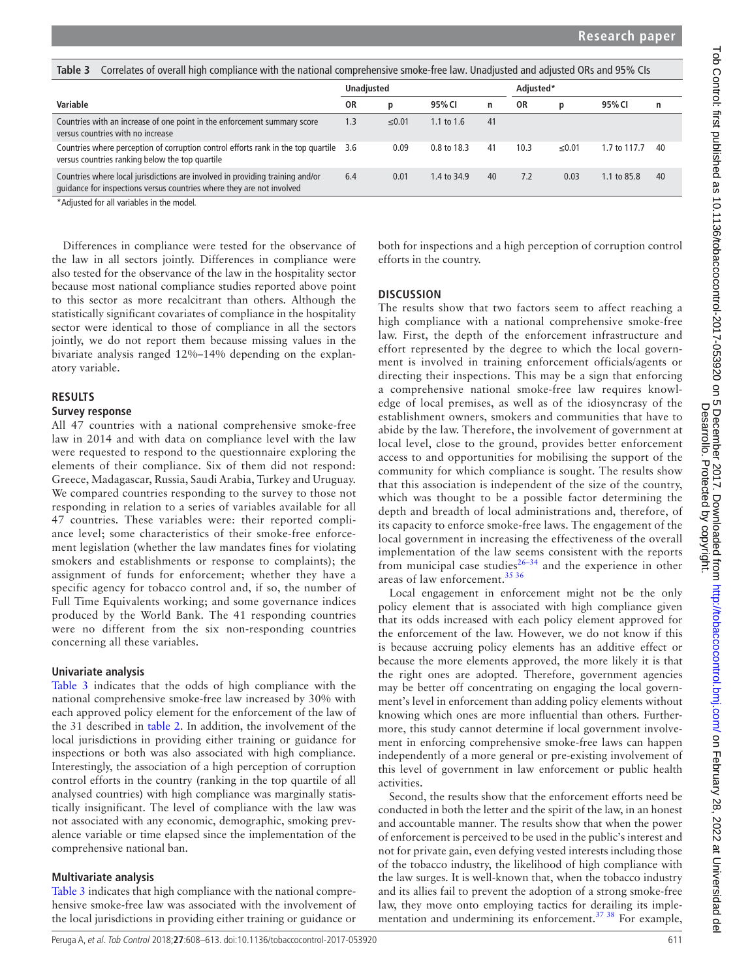<span id="page-3-0"></span>

| Correlates of overall high compliance with the national comprehensive smoke-free law. Unadjusted and adjusted ORs and 95% CIs<br>Table 3               |                   |       |              |           |      |       |              |    |  |
|--------------------------------------------------------------------------------------------------------------------------------------------------------|-------------------|-------|--------------|-----------|------|-------|--------------|----|--|
|                                                                                                                                                        | <b>Unadjusted</b> |       |              | Adjusted* |      |       |              |    |  |
| Variable                                                                                                                                               | ΟR                | p     | 95% CI       | n         | ΟR   | р     | 95% CI       | n  |  |
| Countries with an increase of one point in the enforcement summary score<br>versus countries with no increase                                          |                   | ≤0.01 | 1.1 to $1.6$ | 41        |      |       |              |    |  |
| Countries where perception of corruption control efforts rank in the top quartile 3.6<br>versus countries ranking below the top quartile               |                   | 0.09  | 0.8 to 18.3  | 41        | 10.3 | ≤0.01 | 1.7 to 117.7 | 40 |  |
| Countries where local jurisdictions are involved in providing training and/or<br>quidance for inspections versus countries where they are not involved |                   | 0.01  | 1.4 to 34.9  | 40        | 7.2  | 0.03  | 1.1 to 85.8  | 40 |  |

\*Adjusted for all variables in the model.

Differences in compliance were tested for the observance of the law in all sectors jointly. Differences in compliance were also tested for the observance of the law in the hospitality sector because most national compliance studies reported above point to this sector as more recalcitrant than others. Although the statistically significant covariates of compliance in the hospitality sector were identical to those of compliance in all the sectors jointly, we do not report them because missing values in the bivariate analysis ranged 12%–14% depending on the explanatory variable.

#### **Results**

#### **Survey response**

All 47 countries with a national comprehensive smoke-free law in 2014 and with data on compliance level with the law were requested to respond to the questionnaire exploring the elements of their compliance. Six of them did not respond: Greece, Madagascar, Russia, Saudi Arabia, Turkey and Uruguay. We compared countries responding to the survey to those not responding in relation to a series of variables available for all 47 countries. These variables were: their reported compliance level; some characteristics of their smoke-free enforcement legislation (whether the law mandates fines for violating smokers and establishments or response to complaints); the assignment of funds for enforcement; whether they have a specific agency for tobacco control and, if so, the number of Full Time Equivalents working; and some governance indices produced by the World Bank. The 41 responding countries were no different from the six non-responding countries concerning all these variables.

## **Univariate analysis**

[Table](#page-3-0) 3 indicates that the odds of high compliance with the national comprehensive smoke-free law increased by 30% with each approved policy element for the enforcement of the law of the 31 described in [table](#page-2-0) 2. In addition, the involvement of the local jurisdictions in providing either training or guidance for inspections or both was also associated with high compliance. Interestingly, the association of a high perception of corruption control efforts in the country (ranking in the top quartile of all analysed countries) with high compliance was marginally statistically insignificant. The level of compliance with the law was not associated with any economic, demographic, smoking prevalence variable or time elapsed since the implementat**i**on of the comprehensive national ban.

## **Multivariate analysis**

[Table](#page-3-0) 3 indicates that high compliance with the national comprehensive smoke-free law was associated with the involvement of the local jurisdictions in providing either training or guidance or

both for inspections and a high perception of corruption control efforts in the country.

## **Discussion**

The results show that two factors seem to affect reaching a high compliance with a national comprehensive smoke-free law. First, the depth of the enforcement infrastructure and effort represented by the degree to which the local government is involved in training enforcement officials/agents or directing their inspections. This may be a sign that enforcing a comprehensive national smoke-free law requires knowledge of local premises, as well as of the idiosyncrasy of the establishment owners, smokers and communities that have to abide by the law. Therefore, the involvement of government at local level, close to the ground, provides better enforcement access to and opportunities for mobilising the support of the community for which compliance is sought. The results show that this association is independent of the size of the country, which was thought to be a possible factor determining the depth and breadth of local administrations and, therefore, of its capacity to enforce smoke-free laws. The engagement of the local government in increasing the effectiveness of the overall implementation of the law seems consistent with the reports from municipal case studies $26-34$  and the experience in other areas of law enforcement.[35 36](#page-5-12)

Local engagement in enforcement might not be the only policy element that is associated with high compliance given that its odds increased with each policy element approved for the enforcement of the law. However, we do not know if this is because accruing policy elements has an additive effect or because the more elements approved, the more likely it is that the right ones are adopted. Therefore, government agencies may be better off concentrating on engaging the local government's level in enforcement than adding policy elements without knowing which ones are more influential than others. Furthermore, this study cannot determine if local government involvement in enforcing comprehensive smoke-free laws can happen independently of a more general or pre-existing involvement of this level of government in law enforcement or public health activities.

Second, the results show that the enforcement efforts need be conducted in both the letter and the spirit of the law, in an honest and accountable manner. The results show that when the power of enforcement is perceived to be used in the public's interest and not for private gain, even defying vested interests including those of the tobacco industry, the likelihood of high compliance with the law surges. It is well-known that, when the tobacco industry and its allies fail to prevent the adoption of a strong smoke-free law, they move onto employing tactics for derailing its implementation and undermining its enforcement.<sup>37</sup> <sup>38</sup> For example,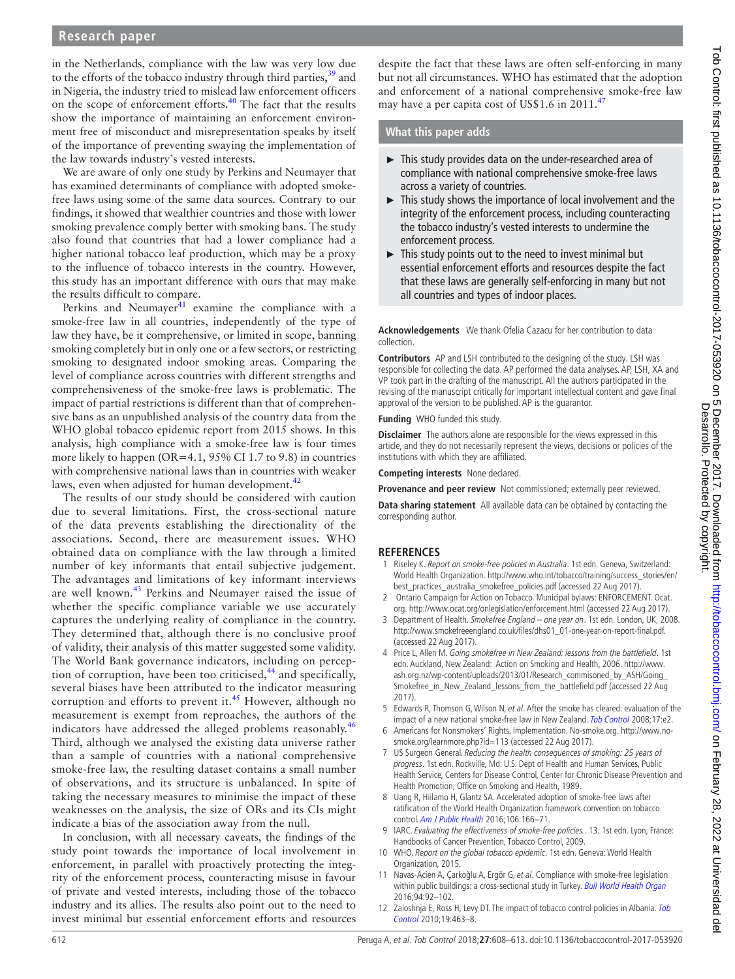# **Research paper**

in the Netherlands, compliance with the law was very low due to the efforts of the tobacco industry through third parties,  $39$  and in Nigeria, the industry tried to mislead law enforcement officers on the scope of enforcement efforts.[40](#page-5-15) The fact that the results show the importance of maintaining an enforcement environment free of misconduct and misrepresentation speaks by itself of the importance of preventing swaying the implementation of the law towards industry's vested interests.

We are aware of only one study by Perkins and Neumayer that has examined determinants of compliance with adopted smokefree laws using some of the same data sources. Contrary to our findings, it showed that wealthier countries and those with lower smoking prevalence comply better with smoking bans. The study also found that countries that had a lower compliance had a higher national tobacco leaf production, which may be a proxy to the influence of tobacco interests in the country. However, this study has an important difference with ours that may make the results difficult to compare.

Perkins and Neumayer $^{41}$  examine the compliance with a smoke-free law in all countries, independently of the type of law they have, be it comprehensive, or limited in scope, banning smoking completely but in only one or a few sectors, or restricting smoking to designated indoor smoking areas. Comparing the level of compliance across countries with different strengths and comprehensiveness of the smoke-free laws is problematic. The impact of partial restrictions is different than that of comprehensive bans as an unpublished analysis of the country data from the WHO global tobacco epidemic report from 2015 shows. In this analysis, high compliance with a smoke-free law is four times more likely to happen (OR=4.1, 95% CI 1.7 to 9.8) in countries with comprehensive national laws than in countries with weaker laws, even when adjusted for human development.<sup>[42](#page-5-17)</sup>

The results of our study should be considered with caution due to several limitations. First, the cross-sectional nature of the data prevents establishing the directionality of the associations. Second, there are measurement issues. WHO obtained data on compliance with the law through a limited number of key informants that entail subjective judgement. The advantages and limitations of key informant interviews are well known.<sup>43</sup> Perkins and Neumayer raised the issue of whether the specific compliance variable we use accurately captures the underlying reality of compliance in the country. They determined that, although there is no conclusive proof of validity, their analysis of this matter suggested some validity. The World Bank governance indicators, including on percep-tion of corruption, have been too criticised,<sup>[44](#page-5-19)</sup> and specifically, several biases have been attributed to the indicator measuring corruption and efforts to prevent it.<sup>45</sup> However, although no measurement is exempt from reproaches, the authors of the indicators have addressed the alleged problems reasonably.<sup>[46](#page-5-21)</sup> Third, although we analysed the existing data universe rather than a sample of countries with a national comprehensive smoke-free law, the resulting dataset contains a small number of observations, and its structure is unbalanced. In spite of taking the necessary measures to minimise the impact of these weaknesses on the analysis, the size of ORs and its CIs might indicate a bias of the association away from the null.

In conclusion, with all necessary caveats, the findings of the study point towards the importance of local involvement in enforcement, in parallel with proactively protecting the integrity of the enforcement process, counteracting misuse in favour of private and vested interests, including those of the tobacco industry and its allies. The results also point out to the need to invest minimal but essential enforcement efforts and resources

despite the fact that these laws are often self-enforcing in many but not all circumstances. WHO has estimated that the adoption and enforcement of a national comprehensive smoke-free law may have a per capita cost of US\$1.6 in 2011.<sup>[47](#page-5-22)</sup>

## **What this paper adds**

- ► This study provides data on the under-researched area of compliance with national comprehensive smoke-free laws across a variety of countries.
- ► This study shows the importance of local involvement and the integrity of the enforcement process, including counteracting the tobacco industry's vested interests to undermine the enforcement process.
- $\blacktriangleright$  This study points out to the need to invest minimal but essential enforcement efforts and resources despite the fact that these laws are generally self-enforcing in many but not all countries and types of indoor places.

#### **Acknowledgements** We thank Ofelia Cazacu for her contribution to data collection.

**Contributors** AP and LSH contributed to the designing of the study. LSH was responsible for collecting the data. AP performed the data analyses. AP, LSH, XA and VP took part in the drafting of the manuscript. All the authors participated in the revising of the manuscript critically for important intellectual content and gave final approval of the version to be published. AP is the guarantor.

**Funding** WHO funded this study.

**Disclaimer** The authors alone are responsible for the views expressed in this article, and they do not necessarily represent the views, decisions or policies of the institutions with which they are affiliated.

**Competing interests** None declared.

**Provenance and peer review** Not commissioned; externally peer reviewed.

**Data sharing statement** All available data can be obtained by contacting the corresponding author.

#### **References**

- <span id="page-4-0"></span>1 Riseley K. Report on smoke-free policies in Australia. 1st edn. Geneva, Switzerland: World Health Organization. [http://www.who.int/tobacco/training/success\\_stories/en/](http://www.who.int/tobacco/training/success_stories/en/best_practices_australia_smokefree_policies.pdf) [best\\_practices\\_australia\\_smokefree\\_policies.pdf](http://www.who.int/tobacco/training/success_stories/en/best_practices_australia_smokefree_policies.pdf) (accessed 22 Aug 2017).
- <span id="page-4-1"></span>2 Ontario Campaign for Action on Tobacco. Municipal bylaws: ENFORCEMENT. Ocat. org. <http://www.ocat.org/onlegislation/enforcement.html> (accessed 22 Aug 2017).
- <span id="page-4-2"></span>3 Department of Health. Smokefree England – one year on. 1st edn. London, UK, 2008. [http://www.smokefreeengland.co.uk/files/dhs01\\_01-one-year-on-report-final.pdf](http://www.smokefreeengland.co.uk/files/dhs01_01-one-year-on-report-final.pdf). (accessed 22 Aug 2017).
- <span id="page-4-3"></span>4 Price L, Allen M. Going smokefree in New Zealand: lessons from the battlefield. 1st edn. Auckland, New Zealand: Action on Smoking and Health, 2006. [http://www.](http://www.ash.org.nz/wp-content/uploads/2013/01/Research_commisoned_by_ASH/Going_Smokefree_in_New_Zealand_lessons_from_the_battlefield.pdf) [ash.org.nz/wp-content/uploads/2013/01/Research\\_commisoned\\_by\\_ASH/Going\\_](http://www.ash.org.nz/wp-content/uploads/2013/01/Research_commisoned_by_ASH/Going_Smokefree_in_New_Zealand_lessons_from_the_battlefield.pdf) [Smokefree\\_in\\_New\\_Zealand\\_lessons\\_from\\_the\\_battlefield.pdf](http://www.ash.org.nz/wp-content/uploads/2013/01/Research_commisoned_by_ASH/Going_Smokefree_in_New_Zealand_lessons_from_the_battlefield.pdf) (accessed 22 Aug 2017).
- 5 Edwards R, Thomson G, Wilson N, et al. After the smoke has cleared: evaluation of the impact of a new national smoke-free law in New Zealand. [Tob Control](http://dx.doi.org/10.1136/tc.2007.020347) 2008;17:e2.
- <span id="page-4-4"></span>6 Americans for Nonsmokers' Rights. Implementation. No-smoke.org. [http://www.no](http://www.no-smoke.org/learnmore.php?id=113)[smoke.org/learnmore.php?id=113](http://www.no-smoke.org/learnmore.php?id=113) (accessed 22 Aug 2017).
- 7 US Surgeon General. Reducing the health consequences of smoking: 25 years of progress. 1st edn. Rockville, Md: U.S. Dept of Health and Human Services, Public Health Service, Centers for Disease Control, Center for Chronic Disease Prevention and Health Promotion, Office on Smoking and Health, 1989.
- <span id="page-4-5"></span>8 Uang R, Hiilamo H, Glantz SA. Accelerated adoption of smoke-free laws after ratification of the World Health Organization framework convention on tobacco control. [Am J Public Health](http://dx.doi.org/10.2105/AJPH.2015.302872) 2016;106:166–71.
- <span id="page-4-6"></span>9 IARC. Evaluating the effectiveness of smoke-free policies.. 13. 1st edn. Lyon, France: Handbooks of Cancer Prevention, Tobacco Control, 2009.
- <span id="page-4-7"></span>10 WHO. Report on the global tobacco epidemic. 1st edn. Geneva: World Health Organization, 2015.
- <span id="page-4-8"></span>11 Navas-Acien A, Çarkoğlu A, Ergör G, et al. Compliance with smoke-free legislation within public buildings: a cross-sectional study in Turkey. [Bull World Health Organ](http://dx.doi.org/10.2471/BLT.15.158238) 2016;94:92–102.
- <span id="page-4-9"></span>12 Zaloshnja E, Ross H, Levy DT. The impact of tobacco control policies in Albania. Tob [Control](http://dx.doi.org/10.1136/tc.2009.034652) 2010;19:463–8.